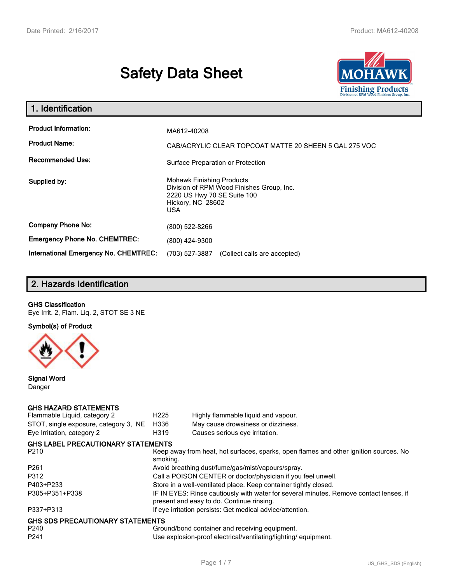# **Safety Data Sheet**



| 1. Identification                                                              |                                                                                                                                          |  |  |
|--------------------------------------------------------------------------------|------------------------------------------------------------------------------------------------------------------------------------------|--|--|
| <b>Product Information:</b><br><b>Product Name:</b><br><b>Recommended Use:</b> | MA612-40208<br>CAB/ACRYLIC CLEAR TOPCOAT MATTE 20 SHEEN 5 GAL 275 VOC<br>Surface Preparation or Protection                               |  |  |
| Supplied by:                                                                   | <b>Mohawk Finishing Products</b><br>Division of RPM Wood Finishes Group, Inc.<br>2220 US Hwy 70 SE Suite 100<br>Hickory, NC 28602<br>USA |  |  |
| <b>Company Phone No:</b>                                                       | (800) 522-8266                                                                                                                           |  |  |
| <b>Emergency Phone No. CHEMTREC:</b>                                           | (800) 424-9300                                                                                                                           |  |  |
| International Emergency No. CHEMTREC:                                          | (703) 527-3887<br>(Collect calls are accepted)                                                                                           |  |  |

# **2. Hazards Identification**

#### **GHS Classification**

Eye Irrit. 2, Flam. Liq. 2, STOT SE 3 NE

**Symbol(s) of Product**



**Signal Word** Danger

#### **GHS HAZARD STATEMENTS**

| Flammable Liquid, category 2              | H <sub>225</sub>                                                                                                                    | Highly flammable liquid and vapour.                       |  |  |
|-------------------------------------------|-------------------------------------------------------------------------------------------------------------------------------------|-----------------------------------------------------------|--|--|
| STOT, single exposure, category 3, NE     | H336                                                                                                                                | May cause drowsiness or dizziness.                        |  |  |
| Eye Irritation, category 2                | H319                                                                                                                                | Causes serious eye irritation.                            |  |  |
| <b>GHS LABEL PRECAUTIONARY STATEMENTS</b> |                                                                                                                                     |                                                           |  |  |
| P <sub>210</sub>                          | Keep away from heat, hot surfaces, sparks, open flames and other ignition sources. No<br>smoking.                                   |                                                           |  |  |
| P <sub>261</sub>                          | Avoid breathing dust/fume/gas/mist/vapours/spray.                                                                                   |                                                           |  |  |
| P312                                      | Call a POISON CENTER or doctor/physician if you feel unwell.                                                                        |                                                           |  |  |
| P403+P233                                 | Store in a well-ventilated place. Keep container tightly closed.                                                                    |                                                           |  |  |
| P305+P351+P338                            | IF IN EYES: Rinse cautiously with water for several minutes. Remove contact lenses, if<br>present and easy to do. Continue rinsing. |                                                           |  |  |
| P337+P313                                 |                                                                                                                                     | If eye irritation persists: Get medical advice/attention. |  |  |
| <b>GHS SDS PRECAUTIONARY STATEMENTS</b>   |                                                                                                                                     |                                                           |  |  |
| P <sub>240</sub>                          |                                                                                                                                     | Ground/bond container and receiving equipment.            |  |  |
| P <sub>241</sub>                          | Use explosion-proof electrical/ventilating/lighting/equipment.                                                                      |                                                           |  |  |
|                                           |                                                                                                                                     |                                                           |  |  |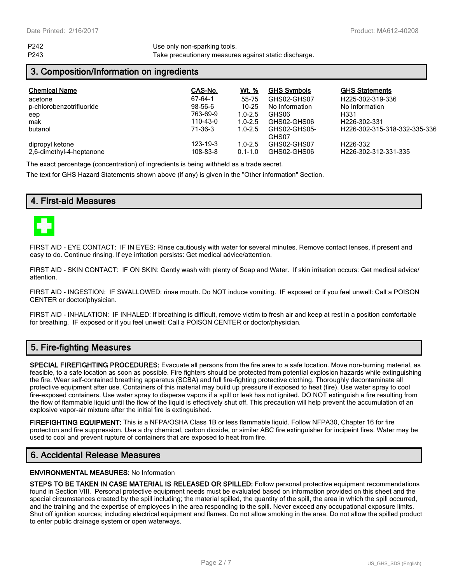P242 Use only non-sparking tools. P243 Take precautionary measures against static discharge.

### **3. Composition/Information on ingredients**

| <b>Chemical Name</b>     | CAS-No.  | Wt. %       | <b>GHS Symbols</b> | <b>GHS Statements</b>        |
|--------------------------|----------|-------------|--------------------|------------------------------|
| acetone                  | 67-64-1  | 55-75       | GHS02-GHS07        | H225-302-319-336             |
| p-chlorobenzotrifluoride | 98-56-6  | 10-25       | No Information     | No Information               |
| eep                      | 763-69-9 | $1.0 - 2.5$ | GHS06              | H331                         |
| mak                      | 110-43-0 | $1.0 - 2.5$ | GHS02-GHS06        | H <sub>226</sub> -302-331    |
| butanol                  | 71-36-3  | $1.0 - 2.5$ | GHS02-GHS05-       | H226-302-315-318-332-335-336 |
|                          |          |             | GHS07              |                              |
| dipropyl ketone          | 123-19-3 | $1.0 - 2.5$ | GHS02-GHS07        | H <sub>226</sub> -332        |
| 2,6-dimethyl-4-heptanone | 108-83-8 | $0.1 - 1.0$ | GHS02-GHS06        | H226-302-312-331-335         |

The exact percentage (concentration) of ingredients is being withheld as a trade secret.

The text for GHS Hazard Statements shown above (if any) is given in the "Other information" Section.

# **4. First-aid Measures**



FIRST AID - EYE CONTACT: IF IN EYES: Rinse cautiously with water for several minutes. Remove contact lenses, if present and easy to do. Continue rinsing. If eye irritation persists: Get medical advice/attention.

FIRST AID - SKIN CONTACT: IF ON SKIN: Gently wash with plenty of Soap and Water. If skin irritation occurs: Get medical advice/ attention.

FIRST AID - INGESTION: IF SWALLOWED: rinse mouth. Do NOT induce vomiting. IF exposed or if you feel unwell: Call a POISON CENTER or doctor/physician.

FIRST AID - INHALATION: IF INHALED: If breathing is difficult, remove victim to fresh air and keep at rest in a position comfortable for breathing. IF exposed or if you feel unwell: Call a POISON CENTER or doctor/physician.

# **5. Fire-fighting Measures**

**SPECIAL FIREFIGHTING PROCEDURES:** Evacuate all persons from the fire area to a safe location. Move non-burning material, as feasible, to a safe location as soon as possible. Fire fighters should be protected from potential explosion hazards while extinguishing the fire. Wear self-contained breathing apparatus (SCBA) and full fire-fighting protective clothing. Thoroughly decontaminate all protective equipment after use. Containers of this material may build up pressure if exposed to heat (fire). Use water spray to cool fire-exposed containers. Use water spray to disperse vapors if a spill or leak has not ignited. DO NOT extinguish a fire resulting from the flow of flammable liquid until the flow of the liquid is effectively shut off. This precaution will help prevent the accumulation of an explosive vapor-air mixture after the initial fire is extinguished.

**FIREFIGHTING EQUIPMENT:** This is a NFPA/OSHA Class 1B or less flammable liquid. Follow NFPA30, Chapter 16 for fire protection and fire suppression. Use a dry chemical, carbon dioxide, or similar ABC fire extinguisher for incipeint fires. Water may be used to cool and prevent rupture of containers that are exposed to heat from fire.

# **6. Accidental Release Measures**

#### **ENVIRONMENTAL MEASURES:** No Information

**STEPS TO BE TAKEN IN CASE MATERIAL IS RELEASED OR SPILLED:** Follow personal protective equipment recommendations found in Section VIII. Personal protective equipment needs must be evaluated based on information provided on this sheet and the special circumstances created by the spill including; the material spilled, the quantity of the spill, the area in which the spill occurred, and the training and the expertise of employees in the area responding to the spill. Never exceed any occupational exposure limits. Shut off ignition sources; including electrical equipment and flames. Do not allow smoking in the area. Do not allow the spilled product to enter public drainage system or open waterways.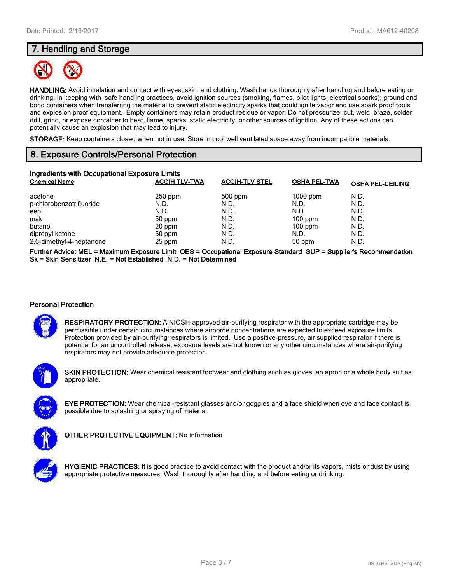# **7. Handling and Storage**



**HANDLING:** Avoid inhalation and contact with eyes, skin, and clothing. Wash hands thoroughly after handling and before eating or drinking. In keeping with safe handling practices, avoid ignition sources (smoking, flames, pilot lights, electrical sparks); ground and bond containers when transferring the material to prevent static electricity sparks that could ignite vapor and use spark proof tools and explosion proof equipment. Empty containers may retain product residue or vapor. Do not pressurize, cut, weld, braze, solder, drill, grind, or expose container to heat, flame, sparks, static electricity, or other sources of ignition. Any of these actions can potentially cause an explosion that may lead to injury.

**STORAGE:** Keep containers closed when not in use. Store in cool well ventilated space away from incompatible materials.

# **8. Exposure Controls/Personal Protection**

| Ingredients with Occupational Exposure Limits |                      |                       |                     |                         |  |
|-----------------------------------------------|----------------------|-----------------------|---------------------|-------------------------|--|
| <b>Chemical Name</b>                          | <b>ACGIH TLV-TWA</b> | <b>ACGIH-TLV STEL</b> | <b>OSHA PEL-TWA</b> | <b>OSHA PEL-CEILING</b> |  |
| acetone                                       | $250$ ppm            | 500 ppm               | $1000$ ppm          | N.D.                    |  |
| p-chlorobenzotrifluoride                      | N.D.                 | N.D.                  | N.D.                | N.D.                    |  |
| eep                                           | N.D.                 | N.D.                  | N.D.                | N.D.                    |  |
| mak                                           | 50 ppm               | N.D.                  | $100$ ppm           | N.D.                    |  |
| butanol                                       | 20 ppm               | N.D.                  | $100$ ppm           | N.D.                    |  |
| dipropyl ketone                               | 50 ppm               | N.D.                  | N.D.                | N.D.                    |  |
| 2,6-dimethyl-4-heptanone                      | 25 ppm               | N.D.                  | 50 ppm              | N.D.                    |  |

**Further Advice: MEL = Maximum Exposure Limit OES = Occupational Exposure Standard SUP = Supplier's Recommendation Sk = Skin Sensitizer N.E. = Not Established N.D. = Not Determined**

#### **Personal Protection**



**RESPIRATORY PROTECTION:** A NIOSH-approved air-purifying respirator with the appropriate cartridge may be permissible under certain circumstances where airborne concentrations are expected to exceed exposure limits. Protection provided by air-purifying respirators is limited. Use a positive-pressure, air supplied respirator if there is potential for an uncontrolled release, exposure levels are not known or any other circumstances where air-purifying respirators may not provide adequate protection.



**SKIN PROTECTION:** Wear chemical resistant footwear and clothing such as gloves, an apron or a whole body suit as appropriate.



**EYE PROTECTION:** Wear chemical-resistant glasses and/or goggles and a face shield when eye and face contact is possible due to splashing or spraying of material.



**OTHER PROTECTIVE EQUIPMENT:** No Information



**HYGIENIC PRACTICES:** It is good practice to avoid contact with the product and/or its vapors, mists or dust by using appropriate protective measures. Wash thoroughly after handling and before eating or drinking.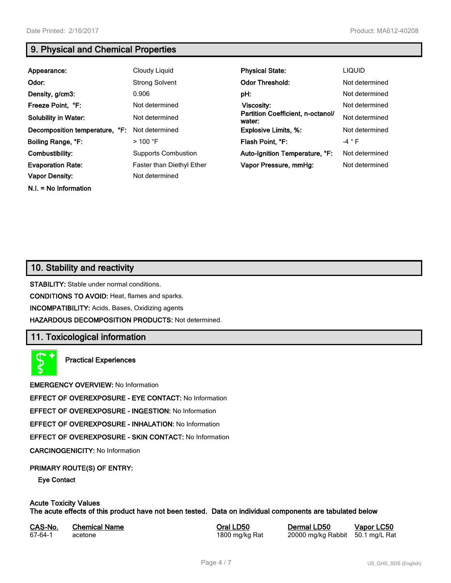**N.I. = No Information**

# **9. Physical and Chemical Properties**

| Appearance:                    | Cloudy Liquid              | <b>Physical State:</b>                      | <b>LIQUID</b>  |
|--------------------------------|----------------------------|---------------------------------------------|----------------|
| Odor:                          | <b>Strong Solvent</b>      | <b>Odor Threshold:</b>                      | Not determined |
| Density, g/cm3:                | 0.906                      | pH:                                         | Not determined |
| Freeze Point, °F:              | Not determined             | Viscosity:                                  | Not determined |
| <b>Solubility in Water:</b>    | Not determined             | Partition Coefficient, n-octanol/<br>water: | Not determined |
| Decomposition temperature, °F: | Not determined             | <b>Explosive Limits, %:</b>                 | Not determined |
| Boiling Range, °F:             | $>100$ °F                  | Flash Point, °F:                            | $-4$ $\circ$ F |
| Combustibility:                | <b>Supports Combustion</b> | Auto-Ignition Temperature, °F:              | Not determined |
| <b>Evaporation Rate:</b>       | Faster than Diethyl Ether  | Vapor Pressure, mmHg:                       | Not determined |
| <b>Vapor Density:</b>          | Not determined             |                                             |                |

# **10. Stability and reactivity**

**STABILITY:** Stable under normal conditions.

**CONDITIONS TO AVOID:** Heat, flames and sparks.

**INCOMPATIBILITY:** Acids, Bases, Oxidizing agents

**HAZARDOUS DECOMPOSITION PRODUCTS:** Not determined.

# **11. Toxicological information**

**Practical Experiences**

**EMERGENCY OVERVIEW:** No Information

**EFFECT OF OVEREXPOSURE - EYE CONTACT:** No Information

**EFFECT OF OVEREXPOSURE - INGESTION:** No Information

**EFFECT OF OVEREXPOSURE - INHALATION:** No Information

**EFFECT OF OVEREXPOSURE - SKIN CONTACT:** No Information

**CARCINOGENICITY:** No Information

#### **PRIMARY ROUTE(S) OF ENTRY:**

**Eye Contact**

#### **Acute Toxicity Values The acute effects of this product have not been tested. Data on individual components are tabulated below**

| CAS-No. | <b>Chemical Name</b> |
|---------|----------------------|
| 67-64-1 | acetone              |

**Casa-No. 2008 LOSE CASES LOSE LOSE CASA-No. 20000 mg/kg Rabbit 50.1 mg/L Rational Poral Definition CASES CASES CASES 1600 mg/kg Rabbit 50.1 mg/L Rational Poral Poral Poral Poral Poral Poral Poral Poral Poral Poral Poral P** 20000 mg/kg Rabbit 50.1 mg/L Rat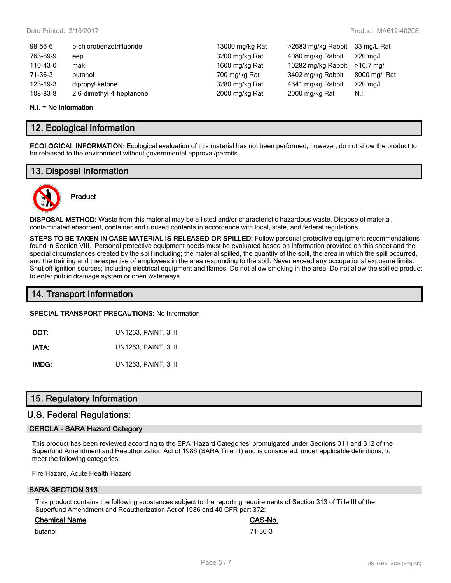| 13000 mg/kg Rat |
|-----------------|
| 3200 mg/kg Rat  |
| 1600 mg/kg Rat  |
| 700 mg/kg Rat   |
| 3280 mg/kg Rat  |
| 2000 mg/kg Rat  |
|                 |

#### **N.I. = No Information**

# **12. Ecological information**

**ECOLOGICAL INFORMATION:** Ecological evaluation of this material has not been performed; however, do not allow the product to be released to the environment without governmental approval/permits.

# **13. Disposal Information**



# **Product**

**DISPOSAL METHOD:** Waste from this material may be a listed and/or characteristic hazardous waste. Dispose of material, contaminated absorbent, container and unused contents in accordance with local, state, and federal regulations.

**STEPS TO BE TAKEN IN CASE MATERIAL IS RELEASED OR SPILLED:** Follow personal protective equipment recommendations found in Section VIII. Personal protective equipment needs must be evaluated based on information provided on this sheet and the special circumstances created by the spill including; the material spilled, the quantity of the spill, the area in which the spill occurred, and the training and the expertise of employees in the area responding to the spill. Never exceed any occupational exposure limits. Shut off ignition sources; including electrical equipment and flames. Do not allow smoking in the area. Do not allow the spilled product to enter public drainage system or open waterways.

# **14. Transport Information**

#### **SPECIAL TRANSPORT PRECAUTIONS:** No Information

**IATA:** UN1263, PAINT, 3, II

**IMDG:** UN1263, PAINT, 3, II

# **15. Regulatory Information**

### **U.S. Federal Regulations:**

#### **CERCLA - SARA Hazard Category**

This product has been reviewed according to the EPA 'Hazard Categories' promulgated under Sections 311 and 312 of the Superfund Amendment and Reauthorization Act of 1986 (SARA Title III) and is considered, under applicable definitions, to meet the following categories:

Fire Hazard, Acute Health Hazard

# **SARA SECTION 313**

This product contains the following substances subject to the reporting requirements of Section 313 of Title III of the Superfund Amendment and Reauthorization Act of 1986 and 40 CFR part 372:

#### **Chemical Name CAS-No.**

butanol 71-36-3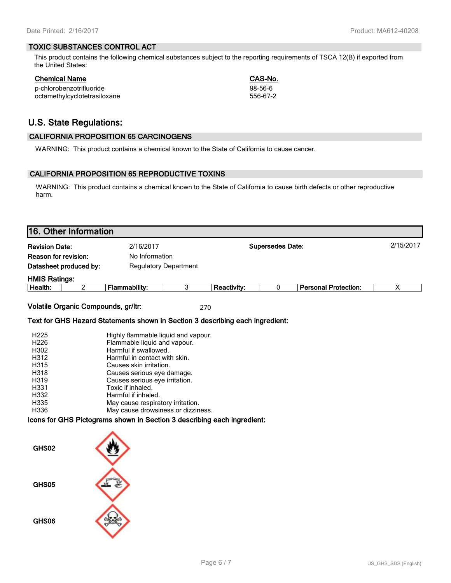#### **TOXIC SUBSTANCES CONTROL ACT**

This product contains the following chemical substances subject to the reporting requirements of TSCA 12(B) if exported from the United States:

| Chemical Name                | CAS-No.  |
|------------------------------|----------|
| p-chlorobenzotrifluoride     | 98-56-6  |
| octamethylcyclotetrasiloxane | 556-67-2 |

# **U.S. State Regulations:**

#### **CALIFORNIA PROPOSITION 65 CARCINOGENS**

WARNING: This product contains a chemical known to the State of California to cause cancer.

#### **CALIFORNIA PROPOSITION 65 REPRODUCTIVE TOXINS**

WARNING: This product contains a chemical known to the State of California to cause birth defects or other reproductive harm.

|                                                              | 16. Other Information                                  |                                                                                                                                                          |                         |                    |   |                             |   |
|--------------------------------------------------------------|--------------------------------------------------------|----------------------------------------------------------------------------------------------------------------------------------------------------------|-------------------------|--------------------|---|-----------------------------|---|
| 2/16/2017<br><b>Revision Date:</b>                           |                                                        |                                                                                                                                                          | <b>Supersedes Date:</b> |                    |   | 2/15/2017                   |   |
| <b>Reason for revision:</b>                                  |                                                        | No Information                                                                                                                                           |                         |                    |   |                             |   |
|                                                              | Datasheet produced by:<br><b>Regulatory Department</b> |                                                                                                                                                          |                         |                    |   |                             |   |
| <b>HMIS Ratings:</b>                                         |                                                        |                                                                                                                                                          |                         |                    |   |                             |   |
| Health:                                                      | 2                                                      | <b>Flammability:</b>                                                                                                                                     | 3                       | <b>Reactivity:</b> | 0 | <b>Personal Protection:</b> | Х |
|                                                              | Volatile Organic Compounds, gr/ltr:                    | Text for GHS Hazard Statements shown in Section 3 describing each ingredient:                                                                            | 270                     |                    |   |                             |   |
| H <sub>225</sub><br>H <sub>226</sub><br>H302<br>H312<br>H315 |                                                        | Highly flammable liquid and vapour.<br>Flammable liquid and vapour.<br>Harmful if swallowed.<br>Harmful in contact with skin.<br>Causes skin irritation. |                         |                    |   |                             |   |
| H318<br><b>LIQ10</b>                                         |                                                        | Causes serious eye damage.<br>Cousse serious ous irritation                                                                                              |                         |                    |   |                             |   |

| H319 | Causes serious eye irritation.     |
|------|------------------------------------|
| H331 | Toxic if inhaled.                  |
| H332 | Harmful if inhaled.                |
| H335 | May cause respiratory irritation.  |
| H336 | May cause drowsiness or dizziness. |
|      |                                    |

#### **Icons for GHS Pictograms shown in Section 3 describing each ingredient:**